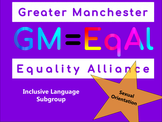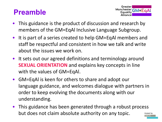### **Preamble**



- This guidance is the product of discussion and research by members of the GM=EqAl Inclusive Language Subgroup.
- It is part of a series created to help GM=EqAl members and staff be respectful and consistent in how we talk and write about the issues we work on.
- It sets out our agreed definitions and terminology around **SEXUAL ORIENTATION** and explains key concepts in line with the values of GM=EqAl.
- GM=EqAl is keen for others to share and adopt our language guidance, and welcomes dialogue with partners in order to keep evolving the documents along with our understanding.
- This guidance has been generated through a robust process but does not claim absolute authority on any topic.Hosted by **GMAYS**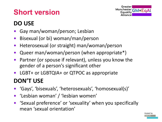# **Short version**



Hosted by

**GMCVO** 

#### **DO USE**

- Gay man/woman/person; Lesbian
- Bisexual (or bi) woman/man/person
- Heterosexual (or straight) man/woman/person
- Queer man/woman/person (when appropriate\*)
- Partner (or spouse if relevant), unless you know the gender of a person's significant other
- LGBT+ or LGBTQIA+ or QTPOC as appropriate

#### **DON'T USE**

- 'Gays', 'bisexuals', 'heterosexuals', 'homosexual(s)'
- 'Lesbian woman' / 'lesbian women'
- 'Sexual preference' or 'sexuality' when you specifically mean 'sexual orientation'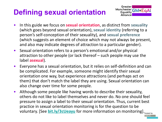# **Defining sexual orientation**



**GMCVO** 

- In this guide we focus on **sexual orientation**, as distinct from **sexuality** (which goes beyond sexual orientation), **sexual identity** (referring to a person's self-conception of their sexuality), and **sexual preference** (which suggests an element of choice which may not always be present, and also may indicate degrees of attraction to a particular gender).
- Sexual orientation refers to a person's emotional and/or physical attraction to other people (or lack thereof – such people may use the label **asexual**).
- Everyone has a sexual orientation, but it relies on self-definition and can be complicated. For example, someone might identify their sexual orientation one way, but experience attractions (and perhaps act on them) that don't match the label they are using. Sexual orientation can also change over time for some people.
- voluntary. [See <u>[bit.ly/3cUeayu](https://bit.ly/3cUeayu)</u> for more information on monitoring].<sub>Hosted by</sub> • Although some people like having words to describe their sexuality, others do not like to label themselves and never do. No one should feel pressure to assign a label to their sexual orientation. Thus, current best practice in sexual orientation monitoring is for the question to be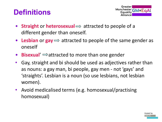### **Definitions**



- **Straight** or **heterosexual**  $\Rightarrow$  attracted to people of a different gender than oneself.
- Lesbian or  $\mathbf{gay} \Longrightarrow$  attracted to people of the same gender as oneself
- **Bisexual'**  $\Rightarrow$  attracted to more than one gender
- Gay, straight and bi should be used as adjectives rather than as nouns: a gay man, bi people, gay men - not 'gays' and 'straights'. Lesbian is a noun (so use lesbians, not lesbian women).
- Avoid medicalised terms (e.g. homosexual/practising homosexual)

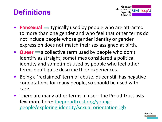## **Definitions**



- **Pansexual**  $\Rightarrow$  typically used by people who are attracted to more than one gender and who feel that other terms do not include people whose gender identity or gender expression does not match their sex assigned at birth.
- **Queer**  $\Rightarrow$  a collective term used by people who don't identify as straight; sometimes considered a political identity and sometimes used by people who feel other terms don't quite describe their experiences.
- Being a 'reclaimed' term of abuse, queer still has negative connotations for many people, so should be used with care.
- There are many other terms in use the Proud Trust lists few more here: theproudtrust.org/young[people/exploring-identity/sexual-orientation-lgb](https://www.theproudtrust.org/young-people/exploring-identity/sexual-orientation-lgb)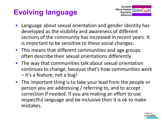## **Evolving language**



- Language about sexual orientation and gender identity has developed as the visibility and awareness of different sections of the community has increased in recent years. It is important to be sensitive to these social changes.
- This means that different communities and age groups often describe their sexual orientations differently
- The way that communities talk about sexual orientation continues to change, because that's how communities work – it's a feature, not a bug!
- The important thing is to take your lead from the people or person you are addressing / referring to, and to accept correction if needed. If you are making an effort to use respectful language and be inclusive then it is ok to make mistakes.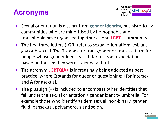### **Acronyms**



- Sexual orientation is distinct from **gender identity**, but historically communities who are minoritised by homophobia and transphobia have organised together as one **LGBT+** community.
- The first three letters (**LGB**) refer to sexual orientation: lesbian, gay or bisexual. The **T** stands for transgender or trans **-** a term for people whose gender identity is different from expectations based on the sex they were assigned at birth.
- The acronym **LGBTQIA+** is increasingly being adopted as best practice, where **Q** stands for queer or questioning; **I** for intersex and **A** for asexual.
- The plus sign (**+**) is included to encompass other identities that fall under the sexual orientation / gender identity umbrella. For example those who identify as demisexual, non-binary, gender fluid, pansexual, polyamorous and so on.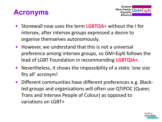#### **Acronyms**



- Stonewall now uses the term **LGBTQA+** without the I for intersex, after intersex groups expressed a desire to organise themselves autonomously.
- However, we understand that this is not a universal preference among intersex groups, so GM=EqAl follows the lead of LGBT Foundation in recommending **LGBTQIA+**.
- Nevertheless, it shows the impossibility of a static 'one size fits all' acronym!
- Different communities have different preferences e.g. Blackled groups and organisations will often use QTIPOC (Queer, Trans and Intersex People of Colour) as opposed to variations on LGBT+

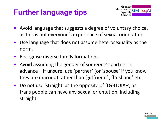## **Further language tips**



- Avoid language that suggests a degree of voluntary choice, as this is not everyone's experience of sexual orientation.
- Use language that does not assume heterosexuality as the norm.
- Recognise diverse family formations.
- Avoid assuming the gender of someone's partner in advance – if unsure, use 'partner' (or 'spouse' if you know they are married) rather than 'girlfriend' , 'husband' etc.
- Do not use 'straight' as the opposite of 'LGBTQIA+', as trans people can have any sexual orientation, including straight.